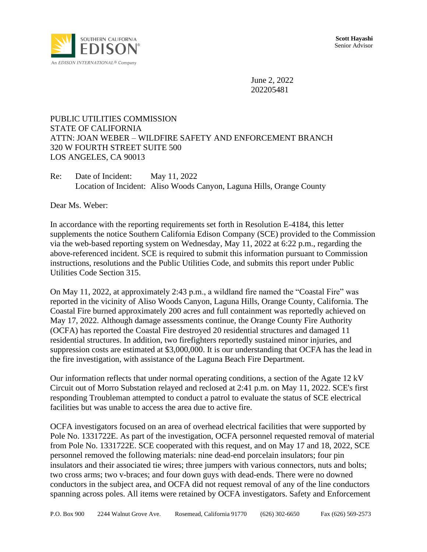

June 2, 2022 202205481

## PUBLIC UTILITIES COMMISSION STATE OF CALIFORNIA ATTN: JOAN WEBER – WILDFIRE SAFETY AND ENFORCEMENT BRANCH 320 W FOURTH STREET SUITE 500 LOS ANGELES, CA 90013

Re: Date of Incident: May 11, 2022 Location of Incident: Aliso Woods Canyon, Laguna Hills, Orange County

Dear Ms. Weber:

In accordance with the reporting requirements set forth in Resolution E-4184, this letter supplements the notice Southern California Edison Company (SCE) provided to the Commission via the web-based reporting system on Wednesday, May 11, 2022 at 6:22 p.m., regarding the above-referenced incident. SCE is required to submit this information pursuant to Commission instructions, resolutions and the Public Utilities Code, and submits this report under Public Utilities Code Section 315.

On May 11, 2022, at approximately 2:43 p.m., a wildland fire named the "Coastal Fire" was reported in the vicinity of Aliso Woods Canyon, Laguna Hills, Orange County, California. The Coastal Fire burned approximately 200 acres and full containment was reportedly achieved on May 17, 2022. Although damage assessments continue, the Orange County Fire Authority (OCFA) has reported the Coastal Fire destroyed 20 residential structures and damaged 11 residential structures. In addition, two firefighters reportedly sustained minor injuries, and suppression costs are estimated at \$3,000,000. It is our understanding that OCFA has the lead in the fire investigation, with assistance of the Laguna Beach Fire Department.

Our information reflects that under normal operating conditions, a section of the Agate 12 kV Circuit out of Morro Substation relayed and reclosed at 2:41 p.m. on May 11, 2022. SCE's first responding Troubleman attempted to conduct a patrol to evaluate the status of SCE electrical facilities but was unable to access the area due to active fire.

OCFA investigators focused on an area of overhead electrical facilities that were supported by Pole No. 1331722E. As part of the investigation, OCFA personnel requested removal of material from Pole No. 1331722E. SCE cooperated with this request, and on May 17 and 18, 2022, SCE personnel removed the following materials: nine dead-end porcelain insulators; four pin insulators and their associated tie wires; three jumpers with various connectors, nuts and bolts; two cross arms; two v-braces; and four down guys with dead-ends. There were no downed conductors in the subject area, and OCFA did not request removal of any of the line conductors spanning across poles. All items were retained by OCFA investigators. Safety and Enforcement